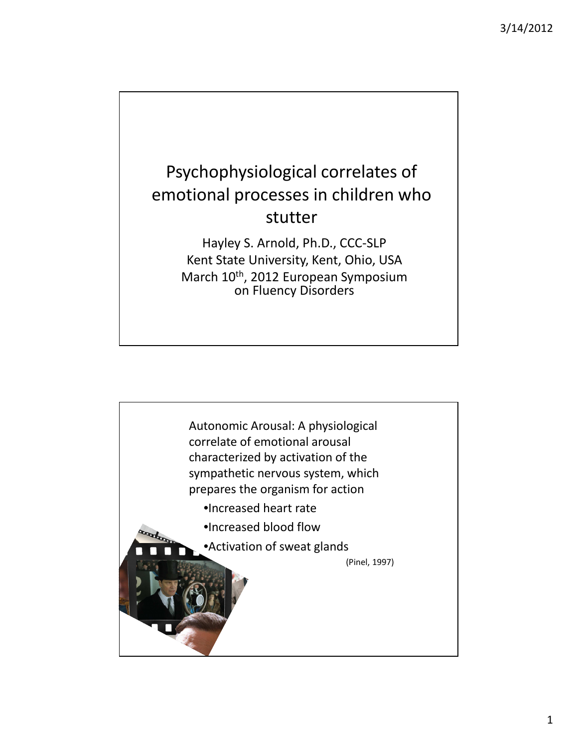## Psychophysiological correlates of emotional processes in children who stutter

Hayley S. Arnold, Ph.D., CCC-SLP Kent State University, Kent, Ohio, USA March 10th, 2012 European Symposium on Fluency Disorders

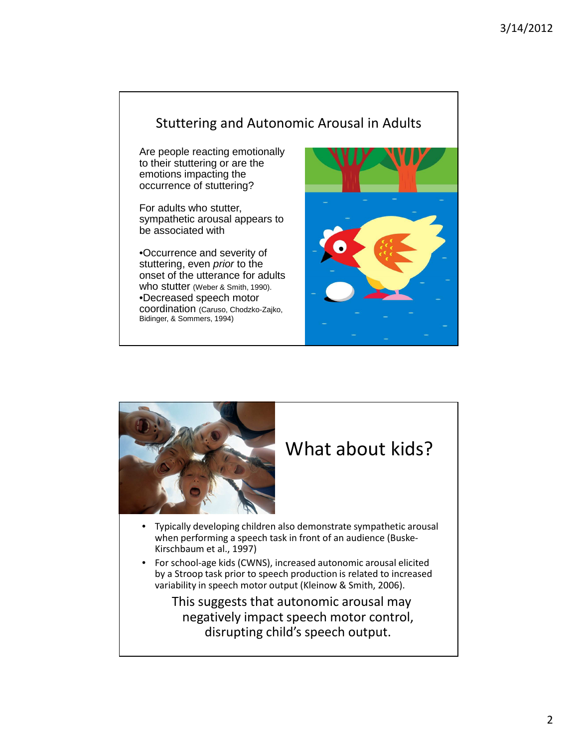#### Stuttering and Autonomic Arousal in Adults

Are people reacting emotionally to their stuttering or are the emotions impacting the occurrence of stuttering?

For adults who stutter, sympathetic arousal appears to be associated with

•Occurrence and severity of stuttering, even *prior* to the onset of the utterance for adults who stutter (Weber & Smith, 1990). •Decreased speech motor coordination (Caruso, Chodzko-Zajko, Bidinger, & Sommers, 1994)



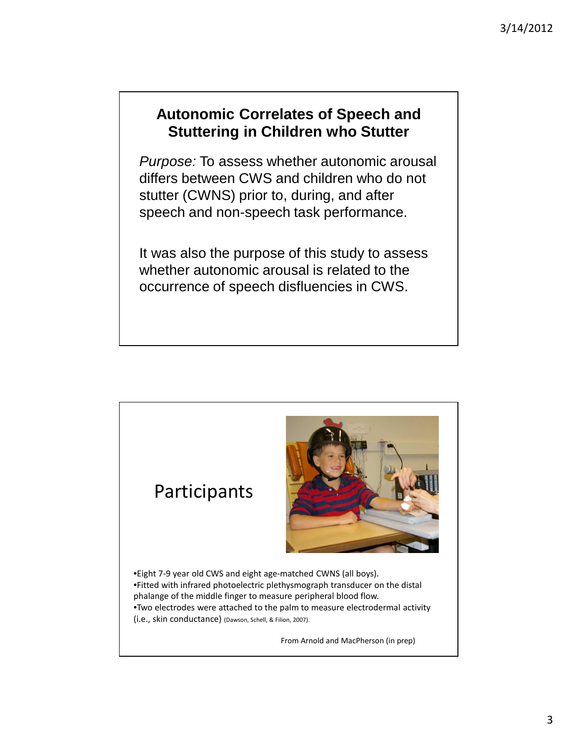#### **Autonomic Correlates of Speech and Stuttering in Children who Stutter**

Purpose: To assess whether autonomic arousal differs between CWS and children who do not stutter (CWNS) prior to, during, and after speech and non-speech task performance.

It was also the purpose of this study to assess whether autonomic arousal is related to the occurrence of speech disfluencies in CWS.



From Arnold and MacPherson (in prep)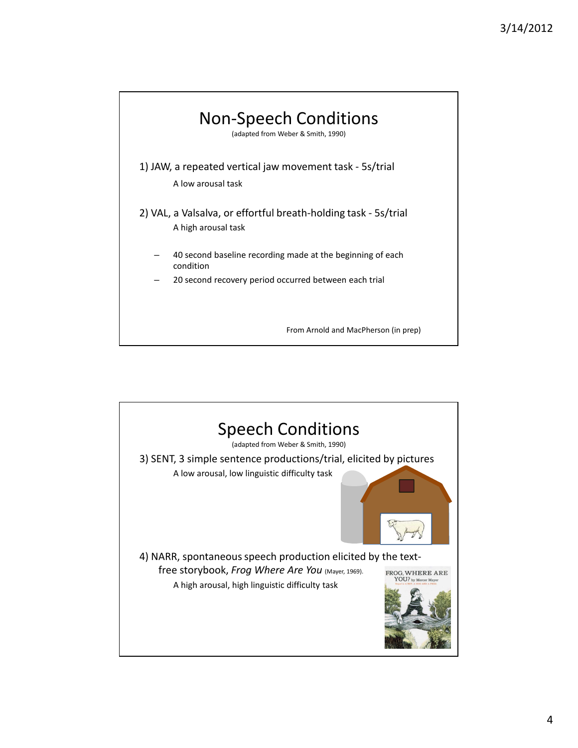

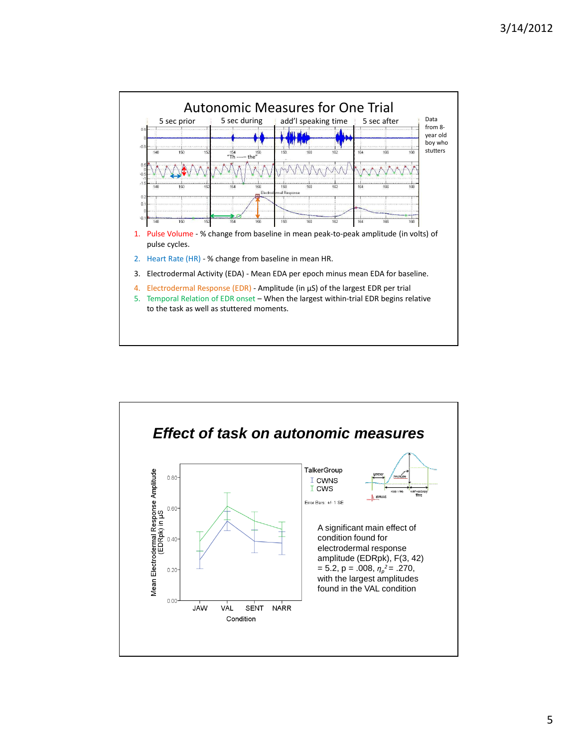

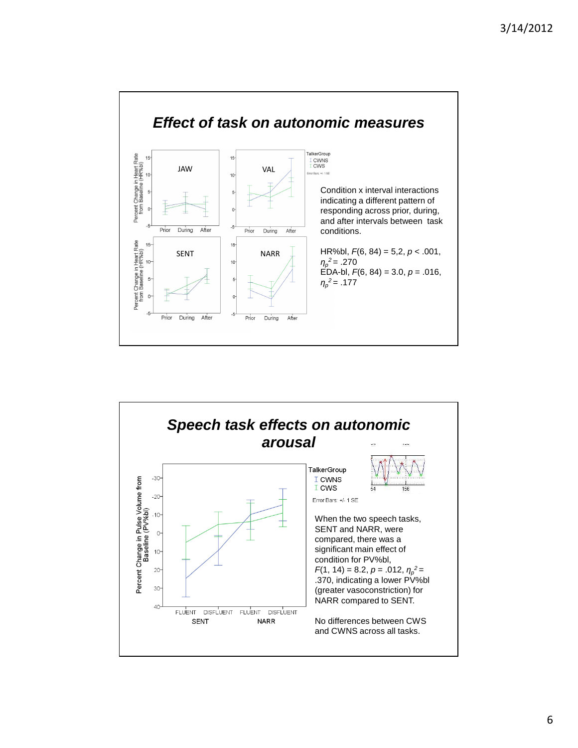

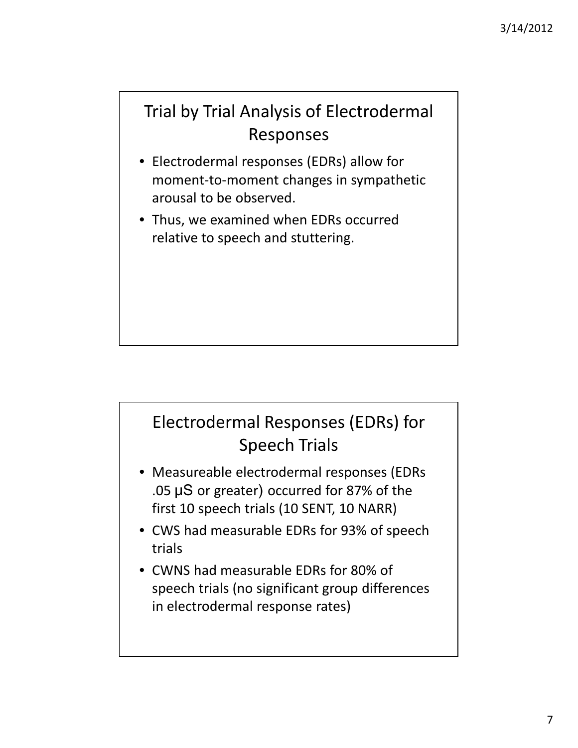### Trial by Trial Analysis of Electrodermal Responses

- Electrodermal responses (EDRs) allow for moment-to-moment changes in sympathetic arousal to be observed.
- Thus, we examined when EDRs occurred relative to speech and stuttering.

# Electrodermal Responses (EDRs) for Speech Trials

- Measureable electrodermal responses (EDRs .05 ˩S or greater) occurred for 87% of the first 10 speech trials (10 SENT, 10 NARR)
- CWS had measurable EDRs for 93% of speech trials
- CWNS had measurable EDRs for 80% of speech trials (no significant group differences in electrodermal response rates)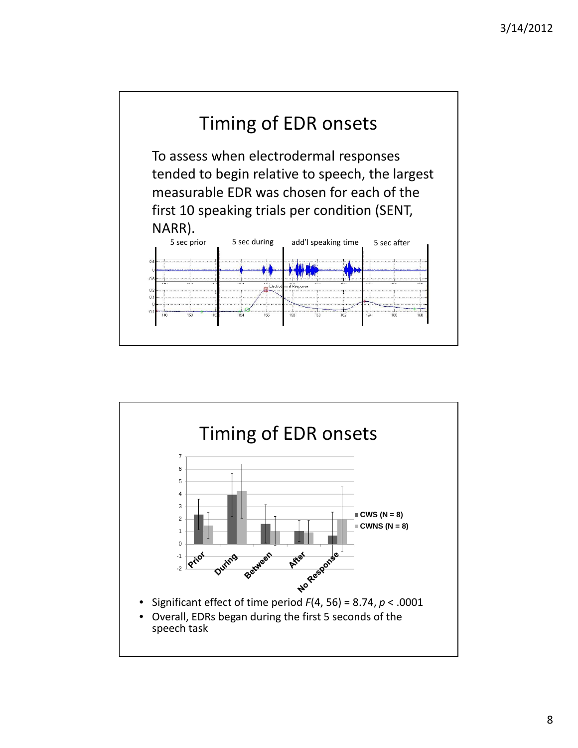

![](_page_7_Figure_2.jpeg)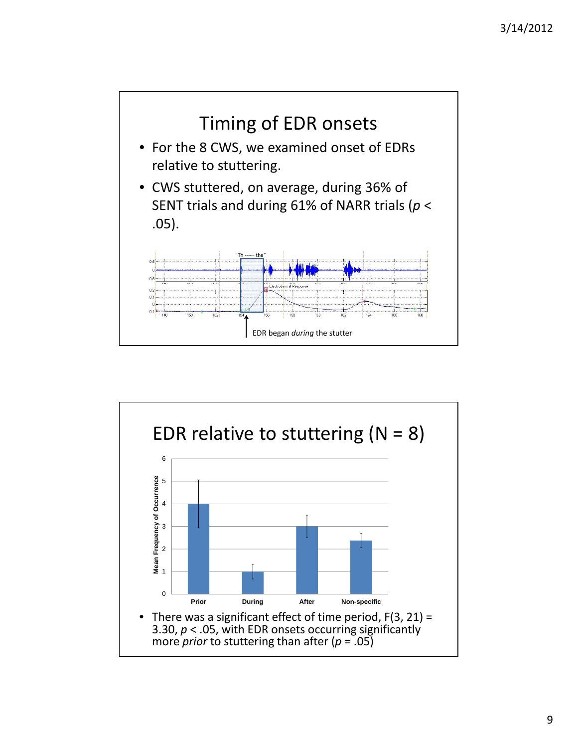![](_page_8_Figure_1.jpeg)

![](_page_8_Figure_2.jpeg)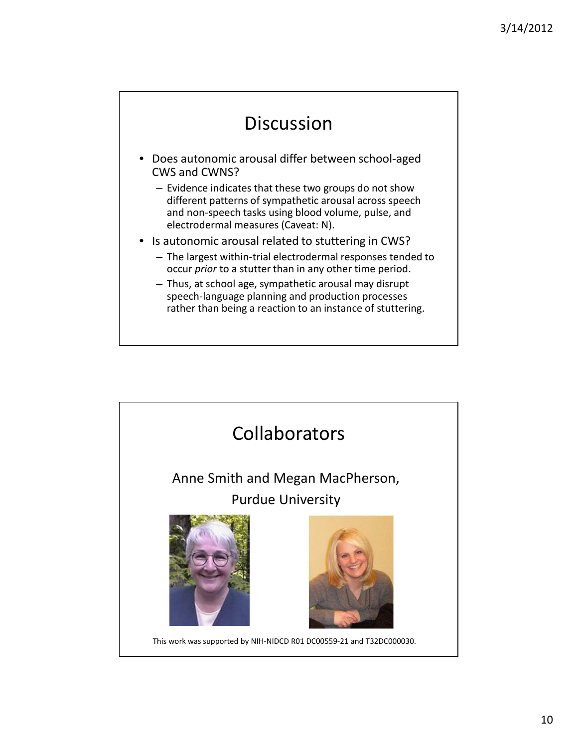### Discussion

- Does autonomic arousal differ between school-aged CWS and CWNS?
	- Evidence indicates that these two groups do not show different patterns of sympathetic arousal across speech and non-speech tasks using blood volume, pulse, and electrodermal measures (Caveat: N).
- Is autonomic arousal related to stuttering in CWS?
	- The largest within-trial electrodermal responses tended to occur *prior* to a stutter than in any other time period.
	- Thus, at school age, sympathetic arousal may disrupt speech-language planning and production processes rather than being a reaction to an instance of stuttering.

![](_page_9_Picture_7.jpeg)